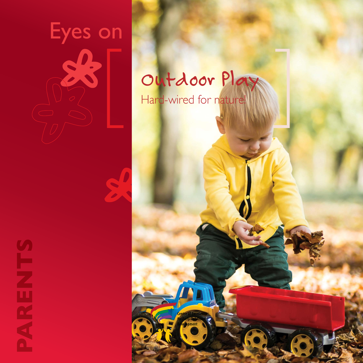



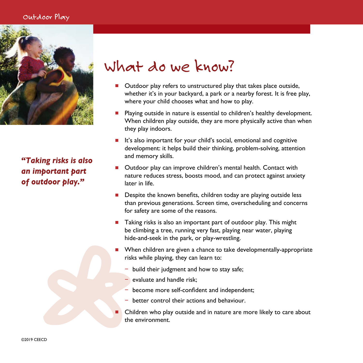### Outdoor Play



*"Taking risks is also an important part of outdoor play."*

# What do we know?

- Outdoor play refers to unstructured play that takes place outside, whether it's in your backyard, a park or a nearby forest. It is free play, where your child chooses what and how to play.
- Playing outside in nature is essential to children's healthy development. When children play outside, they are more physically active than when they play indoors.
- $\blacksquare$  It's also important for your child's social, emotional and cognitive development: it helps build their thinking, problem-solving, attention and memory skills.
- <sup>n</sup> Outdoor play can improve children's mental health. Contact with nature reduces stress, boosts mood, and can protect against anxiety later in life.
- $\blacksquare$  Despite the known benefits, children today are playing outside less than previous generations. Screen time, overscheduling and concerns for safety are some of the reasons.
- <sup>n</sup> Taking risks is also an important part of outdoor play. This might be climbing a tree, running very fast, playing near water, playing hide-and-seek in the park, or play-wrestling.
- When children are given a chance to take developmentally-appropriate risks while playing, they can learn to:
	- − build their judgment and how to stay safe;
		- evaluate and handle risk:
	- become more self-confident and independent;
	- − better control their actions and behaviour.
- Children who play outside and in nature are more likely to care about the environment.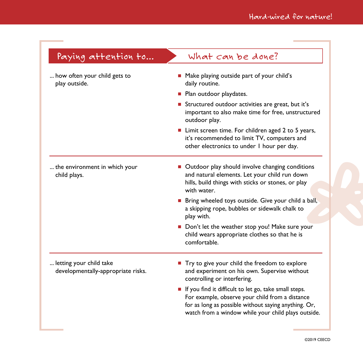## Paying attention to... What can be done?

... how often your child gets to play outside.

... the environment in which your

child plays.

 $\blacksquare$  Outdoor play should involve changing conditions and natural elements. Let your child run down hills, build things with sticks or stones, or play with water.

■ Make playing outside part of your child's

■ Structured outdoor activities are great, but it's

 $\blacksquare$  Limit screen time. For children aged 2 to 5 years, it's recommended to limit TV, computers and other electronics to under 1 hour per day.

important to also make time for free, unstructured

daily routine.

outdoor play.

**Plan outdoor playdates.** 

**n** Bring wheeled toys outside. Give your child a ball, a skipping rope, bubbles or sidewalk chalk to play with.

 $\blacksquare$  Don't let the weather stop you! Make sure your child wears appropriate clothes so that he is comfortable.

... letting your child take developmentally-appropriate risks. ■ Try to give your child the freedom to explore and experiment on his own. Supervise without controlling or interfering.

 $\blacksquare$  If you find it difficult to let go, take small steps. For example, observe your child from a distance for as long as possible without saying anything. Or, watch from a window while your child plays outside.